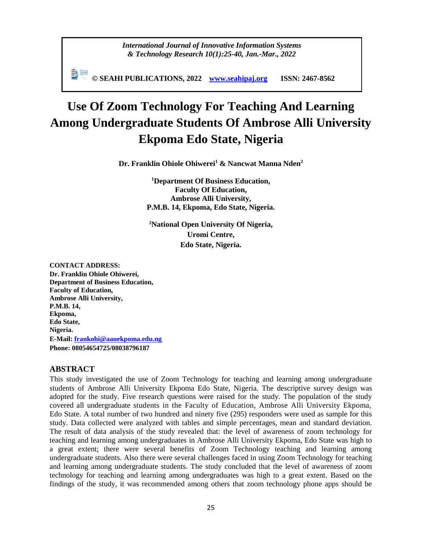*International Journal of Innovative Information Systems & Technology Research 10(1):25-40, Jan.-Mar., 2022*

**© SEAHI PUBLICATIONS, 2022 [www.seahipaj.org](http://www.seahipaj.org/) ISSN: 2467-8562**

# **Use Of Zoom Technology For Teaching And Learning Among Undergraduate Students Of Ambrose Alli University Ekpoma Edo State, Nigeria**

**Dr. Franklin Ohiole Ohiwerei<sup>1</sup> & Nancwat Manna Nden<sup>2</sup>**

**<sup>1</sup>Department Of Business Education, Faculty Of Education, Ambrose Alli University, P.M.B. 14, Ekpoma, Edo State, Nigeria.**

**<sup>2</sup>National Open University Of Nigeria, Uromi Centre, Edo State, Nigeria.**

**CONTACT ADDRESS: Dr. Franklin Ohiole Ohiwerei, Department of Business Education, Faculty of Education, Ambrose Alli University, P.M.B. 14, Ekpoma, Edo State, Nigeria. E-Mail: [frankohi@aauekpoma.edu.ng](mailto:frankohi@aauekpoma.edu.ng) Phone: 08054654725/08038796187**

# **ABSTRACT**

This study investigated the use of Zoom Technology for teaching and learning among undergraduate students of Ambrose Alli University Ekpoma Edo State, Nigeria. The descriptive survey design was adopted for the study. Five research questions were raised for the study. The population of the study covered all undergraduate students in the Faculty of Education, Ambrose Alli University Ekpoma, Edo State. A total number of two hundred and ninety five (295) responders were used as sample for this study. Data collected were analyzed with tables and simple percentages, mean and standard deviation. The result of data analysis of the study revealed that: the level of awareness of zoom technology for teaching and learning among undergraduates in Ambrose Alli University Ekpoma, Edo State was high to a great extent; there were several benefits of Zoom Technology teaching and learning among undergraduate students. Also there were several challenges faced in using Zoom Technology for teaching and learning among undergraduate students. The study concluded that the level of awareness of zoom technology for teaching and learning among undergraduates was high to a great extent. Based on the findings of the study, it was recommended among others that zoom technology phone apps should be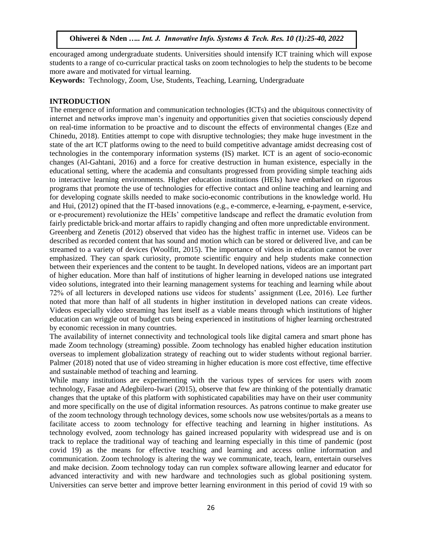encouraged among undergraduate students. Universities should intensify ICT training which will expose students to a range of co-curricular practical tasks on zoom technologies to help the students to be become more aware and motivated for virtual learning.

**Keywords:** Technology, Zoom, Use, Students, Teaching, Learning, Undergraduate

#### **INTRODUCTION**

The emergence of information and communication technologies (ICTs) and the ubiquitous connectivity of internet and networks improve man's ingenuity and opportunities given that societies consciously depend on real-time information to be proactive and to discount the effects of environmental changes (Eze and Chinedu, 2018). Entities attempt to cope with disruptive technologies; they make huge investment in the state of the art ICT platforms owing to the need to build competitive advantage amidst decreasing cost of technologies in the contemporary information systems (IS) market. ICT is an agent of socio-economic changes (Al-Gahtani, 2016) and a force for creative destruction in human existence, especially in the educational setting, where the academia and consultants progressed from providing simple teaching aids to interactive learning environments. Higher education institutions (HEIs) have embarked on rigorous programs that promote the use of technologies for effective contact and online teaching and learning and for developing cognate skills needed to make socio-economic contributions in the knowledge world. Hu and Hui, (2012) opined that the IT-based innovations (e.g., e-commerce, e-learning, e-payment, e-service, or e-procurement) revolutionize the HEIs' competitive landscape and reflect the dramatic evolution from fairly predictable brick-and mortar affairs to rapidly changing and often more unpredictable environment. Greenberg and Zenetis (2012) observed that video has the highest traffic in internet use. Videos can be described as recorded content that has sound and motion which can be stored or delivered live, and can be streamed to a variety of devices (Woolfitt, 2015). The importance of videos in education cannot be over emphasized. They can spark curiosity, promote scientific enquiry and help students make connection

between their experiences and the content to be taught. In developed nations, videos are an important part of higher education. More than half of institutions of higher learning in developed nations use integrated video solutions, integrated into their learning management systems for teaching and learning while about 72% of all lecturers in developed nations use videos for students' assignment (Lee, 2016). Lee further noted that more than half of all students in higher institution in developed nations can create videos. Videos especially video streaming has lent itself as a viable means through which institutions of higher education can wriggle out of budget cuts being experienced in institutions of higher learning orchestrated by economic recession in many countries.

The availability of internet connectivity and technological tools like digital camera and smart phone has made Zoom technology (streaming) possible. Zoom technology has enabled higher education institution overseas to implement globalization strategy of reaching out to wider students without regional barrier. Palmer (2018) noted that use of video streaming in higher education is more cost effective, time effective and sustainable method of teaching and learning.

While many institutions are experimenting with the various types of services for users with zoom technology, Fasae and Adegbilero-Iwari (2015), observe that few are thinking of the potentially dramatic changes that the uptake of this platform with sophisticated capabilities may have on their user community and more specifically on the use of digital information resources. As patrons continue to make greater use of the zoom technology through technology devices, some schools now use websites/portals as a means to facilitate access to zoom technology for effective teaching and learning in higher institutions. As technology evolved, zoom technology has gained increased popularity with widespread use and is on track to replace the traditional way of teaching and learning especially in this time of pandemic (post covid 19) as the means for effective teaching and learning and access online information and communication. Zoom technology is altering the way we communicate, teach, learn, entertain ourselves and make decision. Zoom technology today can run complex software allowing learner and educator for advanced interactivity and with new hardware and technologies such as global positioning system. Universities can serve better and improve better learning environment in this period of covid 19 with so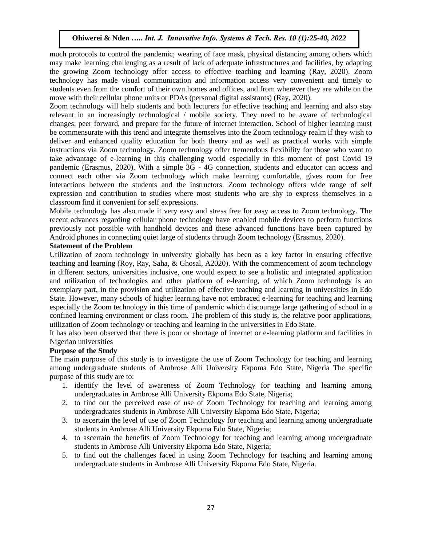much protocols to control the pandemic; wearing of face mask, physical distancing among others which may make learning challenging as a result of lack of adequate infrastructures and facilities, by adapting the growing Zoom technology offer access to effective teaching and learning (Ray, 2020). Zoom technology has made visual communication and information access very convenient and timely to students even from the comfort of their own homes and offices, and from wherever they are while on the move with their cellular phone units or PDAs (personal digital assistants) (Ray, 2020).

Zoom technology will help students and both lecturers for effective teaching and learning and also stay relevant in an increasingly technological / mobile society. They need to be aware of technological changes, peer forward, and prepare for the future of internet interaction. School of higher learning must be commensurate with this trend and integrate themselves into the Zoom technology realm if they wish to deliver and enhanced quality education for both theory and as well as practical works with simple instructions via Zoom technology. Zoom technology offer tremendous flexibility for those who want to take advantage of e-learning in this challenging world especially in this moment of post Covid 19 pandemic (Erasmus, 2020). With a simple 3G - 4G connection, students and educator can access and connect each other via Zoom technology which make learning comfortable, gives room for free interactions between the students and the instructors. Zoom technology offers wide range of self expression and contribution to studies where most students who are shy to express themselves in a classroom find it convenient for self expressions.

Mobile technology has also made it very easy and stress free for easy access to Zoom technology. The recent advances regarding cellular phone technology have enabled mobile devices to perform functions previously not possible with handheld devices and these advanced functions have been captured by Android phones in connecting quiet large of students through Zoom technology (Erasmus, 2020).

#### **Statement of the Problem**

Utilization of zoom technology in university globally has been as a key factor in ensuring effective teaching and learning (Roy, Ray, Saha, & Ghosal, A2020). With the commencement of zoom technology in different sectors, universities inclusive, one would expect to see a holistic and integrated application and utilization of technologies and other platform of e-learning, of which Zoom technology is an exemplary part, in the provision and utilization of effective teaching and learning in universities in Edo State. However, many schools of higher learning have not embraced e-learning for teaching and learning especially the Zoom technology in this time of pandemic which discourage large gathering of school in a confined learning environment or class room. The problem of this study is, the relative poor applications, utilization of Zoom technology or teaching and learning in the universities in Edo State.

It has also been observed that there is poor or shortage of internet or e-learning platform and facilities in Nigerian universities

#### **Purpose of the Study**

The main purpose of this study is to investigate the use of Zoom Technology for teaching and learning among undergraduate students of Ambrose Alli University Ekpoma Edo State, Nigeria The specific purpose of this study are to:

- 1. identify the level of awareness of Zoom Technology for teaching and learning among undergraduates in Ambrose Alli University Ekpoma Edo State, Nigeria;
- 2. to find out the perceived ease of use of Zoom Technology for teaching and learning among undergraduates students in Ambrose Alli University Ekpoma Edo State, Nigeria;
- 3. to ascertain the level of use of Zoom Technology for teaching and learning among undergraduate students in Ambrose Alli University Ekpoma Edo State, Nigeria;
- 4. to ascertain the benefits of Zoom Technology for teaching and learning among undergraduate students in Ambrose Alli University Ekpoma Edo State, Nigeria;
- 5. to find out the challenges faced in using Zoom Technology for teaching and learning among undergraduate students in Ambrose Alli University Ekpoma Edo State, Nigeria.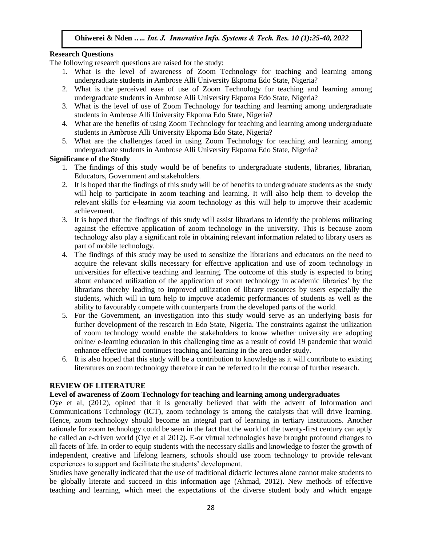#### **Research Questions**

The following research questions are raised for the study:

- 1. What is the level of awareness of Zoom Technology for teaching and learning among undergraduate students in Ambrose Alli University Ekpoma Edo State, Nigeria?
- 2. What is the perceived ease of use of Zoom Technology for teaching and learning among undergraduate students in Ambrose Alli University Ekpoma Edo State, Nigeria?
- 3. What is the level of use of Zoom Technology for teaching and learning among undergraduate students in Ambrose Alli University Ekpoma Edo State, Nigeria?
- 4. What are the benefits of using Zoom Technology for teaching and learning among undergraduate students in Ambrose Alli University Ekpoma Edo State, Nigeria?
- 5. What are the challenges faced in using Zoom Technology for teaching and learning among undergraduate students in Ambrose Alli University Ekpoma Edo State, Nigeria?

#### **Significance of the Study**

- 1. The findings of this study would be of benefits to undergraduate students, libraries, librarian, Educators, Government and stakeholders.
- 2. It is hoped that the findings of this study will be of benefits to undergraduate students as the study will help to participate in zoom teaching and learning. It will also help them to develop the relevant skills for e-learning via zoom technology as this will help to improve their academic achievement.
- 3. It is hoped that the findings of this study will assist librarians to identify the problems militating against the effective application of zoom technology in the university. This is because zoom technology also play a significant role in obtaining relevant information related to library users as part of mobile technology.
- 4. The findings of this study may be used to sensitize the librarians and educators on the need to acquire the relevant skills necessary for effective application and use of zoom technology in universities for effective teaching and learning. The outcome of this study is expected to bring about enhanced utilization of the application of zoom technology in academic libraries' by the librarians thereby leading to improved utilization of library resources by users especially the students, which will in turn help to improve academic performances of students as well as the ability to favourably compete with counterparts from the developed parts of the world.
- 5. For the Government, an investigation into this study would serve as an underlying basis for further development of the research in Edo State, Nigeria. The constraints against the utilization of zoom technology would enable the stakeholders to know whether university are adopting online/ e-learning education in this challenging time as a result of covid 19 pandemic that would enhance effective and continues teaching and learning in the area under study.
- 6. It is also hoped that this study will be a contribution to knowledge as it will contribute to existing literatures on zoom technology therefore it can be referred to in the course of further research.

#### **REVIEW OF LITERATURE**

#### **Level of awareness of Zoom Technology for teaching and learning among undergraduates**

Oye et al, (2012), opined that it is generally believed that with the advent of Information and Communications Technology (ICT), zoom technology is among the catalysts that will drive learning. Hence, zoom technology should become an integral part of learning in tertiary institutions. Another rationale for zoom technology could be seen in the fact that the world of the twenty-first century can aptly be called an e-driven world (Oye et al 2012). E-or virtual technologies have brought profound changes to all facets of life. In order to equip students with the necessary skills and knowledge to foster the growth of independent, creative and lifelong learners, schools should use zoom technology to provide relevant experiences to support and facilitate the students' development.

Studies have generally indicated that the use of traditional didactic lectures alone cannot make students to be globally literate and succeed in this information age (Ahmad, 2012). New methods of effective teaching and learning, which meet the expectations of the diverse student body and which engage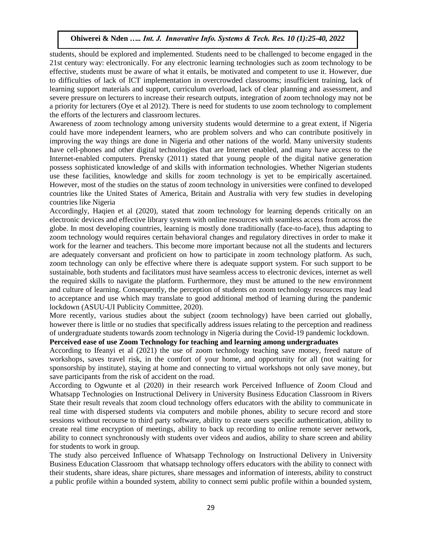students, should be explored and implemented. Students need to be challenged to become engaged in the 21st century way: electronically. For any electronic learning technologies such as zoom technology to be effective, students must be aware of what it entails, be motivated and competent to use it. However, due to difficulties of lack of ICT implementation in overcrowded classrooms; insufficient training, lack of learning support materials and support, curriculum overload, lack of clear planning and assessment, and severe pressure on lecturers to increase their research outputs, integration of zoom technology may not be a priority for lecturers (Oye et al 2012). There is need for students to use zoom technology to complement the efforts of the lecturers and classroom lectures.

Awareness of zoom technology among university students would determine to a great extent, if Nigeria could have more independent learners, who are problem solvers and who can contribute positively in improving the way things are done in Nigeria and other nations of the world. Many university students have cell-phones and other digital technologies that are Internet enabled, and many have access to the Internet-enabled computers. Prensky (2011) stated that young people of the digital native generation possess sophisticated knowledge of and skills with information technologies. Whether Nigerian students use these facilities, knowledge and skills for zoom technology is yet to be empirically ascertained. However, most of the studies on the status of zoom technology in universities were confined to developed countries like the United States of America, Britain and Australia with very few studies in developing countries like Nigeria

Accordingly, Haqien et al (2020), stated that zoom technology for learning depends critically on an electronic devices and effective library system with online resources with seamless access from across the globe. In most developing countries, learning is mostly done traditionally (face-to-face), thus adapting to zoom technology would requires certain behavioral changes and regulatory directives in order to make it work for the learner and teachers. This become more important because not all the students and lecturers are adequately conversant and proficient on how to participate in zoom technology platform. As such, zoom technology can only be effective where there is adequate support system. For such support to be sustainable, both students and facilitators must have seamless access to electronic devices, internet as well the required skills to navigate the platform. Furthermore, they must be attuned to the new environment and culture of learning. Consequently, the perception of students on zoom technology resources may lead to acceptance and use which may translate to good additional method of learning during the pandemic lockdown (ASUU-UI Publicity Committee, 2020).

More recently, various studies about the subject (zoom technology) have been carried out globally, however there is little or no studies that specifically address issues relating to the perception and readiness of undergraduate students towards zoom technology in Nigeria during the Covid-19 pandemic lockdown.

#### **Perceived ease of use Zoom Technology for teaching and learning among undergraduates**

According to Ifeanyi et al (2021) the use of zoom technology teaching save money, freed nature of workshops, saves travel risk, in the comfort of your home, and opportunity for all (not waiting for sponsorship by institute), staying at home and connecting to virtual workshops not only save money, but save participants from the risk of accident on the road.

According to Ogwunte et al (2020) in their research work Perceived Influence of Zoom Cloud and Whatsapp Technologies on Instructional Delivery in University Business Education Classroom in Rivers State their result reveals that zoom cloud technology offers educators with the ability to communicate in real time with dispersed students via computers and mobile phones, ability to secure record and store sessions without recourse to third party software, ability to create users specific authentication, ability to create real time encryption of meetings, ability to back up recording to online remote server network, ability to connect synchronously with students over videos and audios, ability to share screen and ability for students to work in group.

The study also perceived Influence of Whatsapp Technology on Instructional Delivery in University Business Education Classroom that whatsapp technology offers educators with the ability to connect with their students, share ideas, share pictures, share messages and information of interests, ability to construct a public profile within a bounded system, ability to connect semi public profile within a bounded system,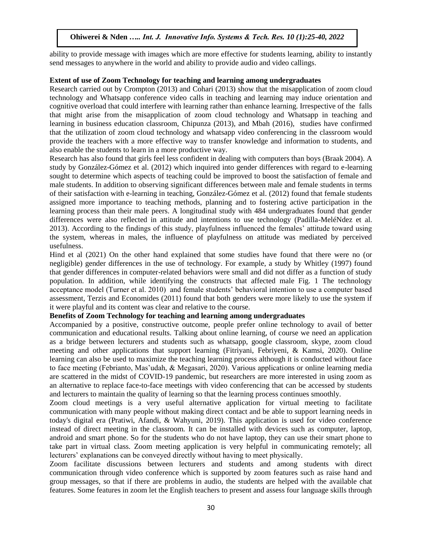ability to provide message with images which are more effective for students learning, ability to instantly send messages to anywhere in the world and ability to provide audio and video callings.

#### **Extent of use of Zoom Technology for teaching and learning among undergraduates**

Research carried out by Crompton (2013) and Cohari (2013) show that the misapplication of zoom cloud technology and Whatsapp conference video calls in teaching and learning may induce orientation and cognitive overload that could interfere with learning rather than enhance learning. Irrespective of the falls that might arise from the misapplication of zoom cloud technology and Whatsapp in teaching and learning in business education classroom, Chipunza (2013), and Mbah (2016), studies have confirmed that the utilization of zoom cloud technology and whatsapp video conferencing in the classroom would provide the teachers with a more effective way to transfer knowledge and information to students, and also enable the students to learn in a more productive way.

Research has also found that girls feel less confident in dealing with computers than boys (Braak 2004). A study by González-Gómez et al. (2012) which inquired into gender differences with regard to e-learning sought to determine which aspects of teaching could be improved to boost the satisfaction of female and male students. In addition to observing significant differences between male and female students in terms of their satisfaction with e-learning in teaching, González-Gómez et al. (2012) found that female students assigned more importance to teaching methods, planning and to fostering active participation in the learning process than their male peers. A longitudinal study with 484 undergraduates found that gender differences were also reflected in attitude and intentions to use technology (Padilla-MeléNdez et al. 2013). According to the findings of this study, playfulness influenced the females' attitude toward using the system, whereas in males, the influence of playfulness on attitude was mediated by perceived usefulness.

Hind et al (2021) On the other hand explained that some studies have found that there were no (or negligible) gender differences in the use of technology. For example, a study by Whitley (1997) found that gender differences in computer-related behaviors were small and did not differ as a function of study population. In addition, while identifying the constructs that affected male Fig. 1 The technology acceptance model (Turner et al. 2010) and female students' behavioral intention to use a computer based assessment, Terzis and Economides (2011) found that both genders were more likely to use the system if it were playful and its content was clear and relative to the course.

#### **Benefits of Zoom Technology for teaching and learning among undergraduates**

Accompanied by a positive, constructive outcome, people prefer online technology to avail of better communication and educational results. Talking about online learning, of course we need an application as a bridge between lecturers and students such as whatsapp, google classroom, skype, zoom cloud meeting and other applications that support learning (Fitriyani, Febriyeni, & Kamsi, 2020). Online learning can also be used to maximize the teaching learning process although it is conducted without face to face meeting (Febrianto, Mas'udah, & Megasari, 2020). Various applications or online learning media are scattered in the midst of COVID-19 pandemic, but researchers are more interested in using zoom as an alternative to replace face-to-face meetings with video conferencing that can be accessed by students and lecturers to maintain the quality of learning so that the learning process continues smoothly.

Zoom cloud meetings is a very useful alternative application for virtual meeting to facilitate communication with many people without making direct contact and be able to support learning needs in today's digital era (Pratiwi, Afandi, & Wahyuni, 2019). This application is used for video conference instead of direct meeting in the classroom. It can be installed with devices such as computer, laptop, android and smart phone. So for the students who do not have laptop, they can use their smart phone to take part in virtual class. Zoom meeting application is very helpful in communicating remotely; all lecturers' explanations can be conveyed directly without having to meet physically.

Zoom facilitate discussions between lecturers and students and among students with direct communication through video conference which is supported by zoom features such as raise hand and group messages, so that if there are problems in audio, the students are helped with the available chat features. Some features in zoom let the English teachers to present and assess four language skills through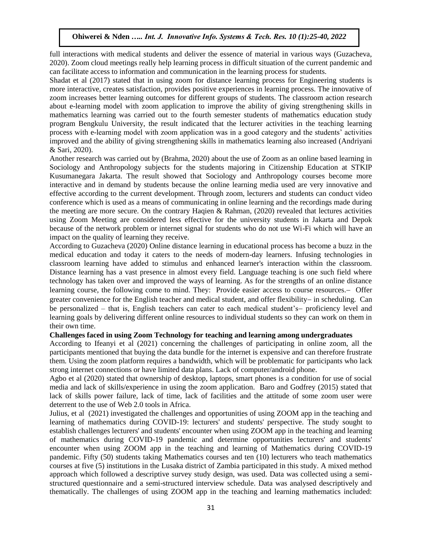full interactions with medical students and deliver the essence of material in various ways (Guzacheva, 2020). Zoom cloud meetings really help learning process in difficult situation of the current pandemic and can facilitate access to information and communication in the learning process for students.

Shadat et al (2017) stated that in using zoom for distance learning process for Engineering students is more interactive, creates satisfaction, provides positive experiences in learning process. The innovative of zoom increases better learning outcomes for different groups of students. The classroom action research about e-learning model with zoom application to improve the ability of giving strengthening skills in mathematics learning was carried out to the fourth semester students of mathematics education study program Bengkulu University, the result indicated that the lecturer activities in the teaching learning process with e-learning model with zoom application was in a good category and the students' activities improved and the ability of giving strengthening skills in mathematics learning also increased (Andriyani & Sari, 2020).

Another research was carried out by (Brahma, 2020) about the use of Zoom as an online based learning in Sociology and Anthropology subjects for the students majoring in Citizenship Education at STKIP Kusumanegara Jakarta. The result showed that Sociology and Anthropology courses become more interactive and in demand by students because the online learning media used are very innovative and effective according to the current development. Through zoom, lecturers and students can conduct video conference which is used as a means of communicating in online learning and the recordings made during the meeting are more secure. On the contrary Haqien & Rahman, (2020) revealed that lectures activities using Zoom Meeting are considered less effective for the university students in Jakarta and Depok because of the network problem or internet signal for students who do not use Wi-Fi which will have an impact on the quality of learning they receive.

According to Guzacheva (2020) Online distance learning in educational process has become a buzz in the medical education and today it caters to the needs of modern-day learners. Infusing technologies in classroom learning have added to stimulus and enhanced learner's interaction within the classroom. Distance learning has a vast presence in almost every field. Language teaching is one such field where technology has taken over and improved the ways of learning. As for the strengths of an online distance learning course, the following come to mind. They: Provide easier access to course resources. Offer greater convenience for the English teacher and medical student, and offer flexibility- in scheduling. Can be personalized – that is, English teachers can cater to each medical student's – proficiency level and learning goals by delivering different online resources to individual students so they can work on them in their own time.

#### **Challenges faced in using Zoom Technology for teaching and learning among undergraduates**

According to Ifeanyi et al (2021) concerning the challenges of participating in online zoom, all the participants mentioned that buying the data bundle for the internet is expensive and can therefore frustrate them. Using the zoom platform requires a bandwidth, which will be problematic for participants who lack strong internet connections or have limited data plans. Lack of computer/android phone.

Agbo et al (2020) stated that ownership of desktop, laptops, smart phones is a condition for use of social media and lack of skills/experience in using the zoom application. Baro and Godfrey (2015) stated that lack of skills power failure, lack of time, lack of facilities and the attitude of some zoom user were deterrent to the use of Web 2.0 tools in Africa.

Julius, et al (2021) investigated the challenges and opportunities of using ZOOM app in the teaching and learning of mathematics during COVID-19: lecturers' and students' perspective. The study sought to establish challenges lecturers' and students' encounter when using ZOOM app in the teaching and learning of mathematics during COVID-19 pandemic and determine opportunities lecturers' and students' encounter when using ZOOM app in the teaching and learning of Mathematics during COVID-19 pandemic. Fifty (50) students taking Mathematics courses and ten (10) lecturers who teach mathematics courses at five (5) institutions in the Lusaka district of Zambia participated in this study. A mixed method approach which followed a descriptive survey study design, was used. Data was collected using a semistructured questionnaire and a semi-structured interview schedule. Data was analysed descriptively and thematically. The challenges of using ZOOM app in the teaching and learning mathematics included: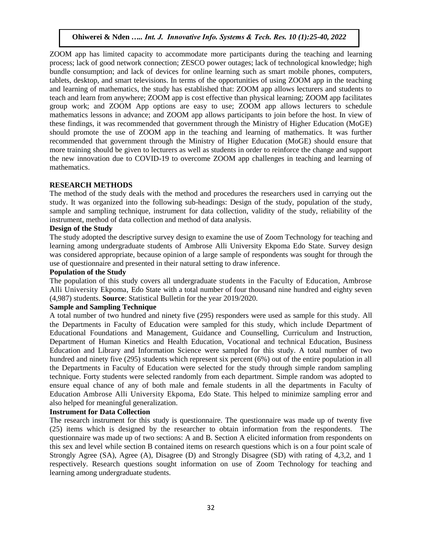ZOOM app has limited capacity to accommodate more participants during the teaching and learning process; lack of good network connection; ZESCO power outages; lack of technological knowledge; high bundle consumption; and lack of devices for online learning such as smart mobile phones, computers, tablets, desktop, and smart televisions. In terms of the opportunities of using ZOOM app in the teaching and learning of mathematics, the study has established that: ZOOM app allows lecturers and students to teach and learn from anywhere; ZOOM app is cost effective than physical learning; ZOOM app facilitates group work; and ZOOM App options are easy to use; ZOOM app allows lecturers to schedule mathematics lessons in advance; and ZOOM app allows participants to join before the host. In view of these findings, it was recommended that government through the Ministry of Higher Education (MoGE) should promote the use of ZOOM app in the teaching and learning of mathematics. It was further recommended that government through the Ministry of Higher Education (MoGE) should ensure that more training should be given to lecturers as well as students in order to reinforce the change and support the new innovation due to COVID-19 to overcome ZOOM app challenges in teaching and learning of mathematics.

#### **RESEARCH METHODS**

The method of the study deals with the method and procedures the researchers used in carrying out the study. It was organized into the following sub-headings: Design of the study, population of the study, sample and sampling technique, instrument for data collection, validity of the study, reliability of the instrument, method of data collection and method of data analysis.

#### **Design of the Study**

The study adopted the descriptive survey design to examine the use of Zoom Technology for teaching and learning among undergraduate students of Ambrose Alli University Ekpoma Edo State. Survey design was considered appropriate, because opinion of a large sample of respondents was sought for through the use of questionnaire and presented in their natural setting to draw inference.

#### **Population of the Study**

The population of this study covers all undergraduate students in the Faculty of Education, Ambrose Alli University Ekpoma, Edo State with a total number of four thousand nine hundred and eighty seven (4,987) students. **Source**: Statistical Bulletin for the year 2019/2020.

#### **Sample and Sampling Technique**

A total number of two hundred and ninety five (295) responders were used as sample for this study. All the Departments in Faculty of Education were sampled for this study, which include Department of Educational Foundations and Management, Guidance and Counselling, Curriculum and Instruction, Department of Human Kinetics and Health Education, Vocational and technical Education, Business Education and Library and Information Science were sampled for this study. A total number of two hundred and ninety five (295) students which represent six percent (6%) out of the entire population in all the Departments in Faculty of Education were selected for the study through simple random sampling technique. Forty students were selected randomly from each department. Simple random was adopted to ensure equal chance of any of both male and female students in all the departments in Faculty of Education Ambrose Alli University Ekpoma, Edo State. This helped to minimize sampling error and also helped for meaningful generalization.

#### **Instrument for Data Collection**

The research instrument for this study is questionnaire. The questionnaire was made up of twenty five (25) items which is designed by the researcher to obtain information from the respondents. The questionnaire was made up of two sections: A and B. Section A elicited information from respondents on this sex and level while section B contained items on research questions which is on a four point scale of Strongly Agree (SA), Agree (A), Disagree (D) and Strongly Disagree (SD) with rating of 4,3,2, and 1 respectively. Research questions sought information on use of Zoom Technology for teaching and learning among undergraduate students.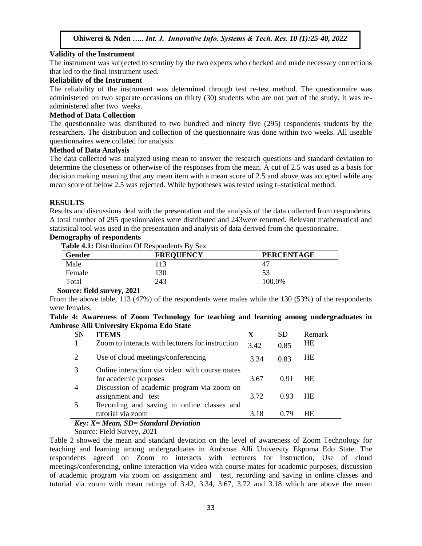#### **Validity of the Instrument**

The instrument was subjected to scrutiny by the two experts who checked and made necessary corrections that led to the final instrument used.

#### **Reliability of the Instrument**

The reliability of the instrument was determined through test re-test method. The questionnaire was administered on two separate occasions on thirty (30) students who are not part of the study. It was readministered after two weeks.

# **Method of Data Collection**

The questionnaire was distributed to two hundred and ninety five (295) respondents students by the researchers. The distribution and collection of the questionnaire was done within two weeks. All useable questionnaires were collated for analysis.

#### **Method of Data Analysis**

The data collected was analyzed using mean to answer the research questions and standard deviation to determine the closeness or otherwise of the responses from the mean. A cut of 2.5 was used as a basis for decision making meaning that any mean item with a mean score of 2.5 and above was accepted while any mean score of below 2.5 was rejected. While hypotheses was tested using t–statistical method.

#### **RESULTS**

Results and discussions deal with the presentation and the analysis of the data collected from respondents. A total number of 295 questionnaires were distributed and 243were returned. Relevant mathematical and statistical tool was used in the presentation and analysis of data derived from the questionnaire.

# **Demography of respondents**

 **Table 4.1:** Distribution Of Respondents By Sex

| <b>THEIR THE DISTIBUTION OF INCSPONDENTS D'Y DUA</b> |  |  |  |  |  |  |  |
|------------------------------------------------------|--|--|--|--|--|--|--|
| <b>PERCENTAGE</b>                                    |  |  |  |  |  |  |  |
|                                                      |  |  |  |  |  |  |  |
|                                                      |  |  |  |  |  |  |  |
|                                                      |  |  |  |  |  |  |  |
|                                                      |  |  |  |  |  |  |  |

#### **Source: field survey, 2021**

From the above table, 113 (47%) of the respondents were males while the 130 (53%) of the respondents were females

|  |  |                                                 |  |  | Table 4: Awareness of Zoom Technology for teaching and learning among undergraduates in |  |
|--|--|-------------------------------------------------|--|--|-----------------------------------------------------------------------------------------|--|
|  |  | <b>Ambrose Alli University Ekpoma Edo State</b> |  |  |                                                                                         |  |

| <b>SN</b>      | <b>ITEMS</b>                                     | X    | SD   | Remark    |
|----------------|--------------------------------------------------|------|------|-----------|
|                | Zoom to interacts with lecturers for instruction | 3.42 | 0.85 | <b>HE</b> |
| 2              | Use of cloud meetings/conferencing               | 3.34 | 0.83 | <b>HE</b> |
|                | Online interaction via video with course mates   |      |      |           |
|                | for academic purposes                            | 3.67 | 0.91 | <b>HE</b> |
| $\overline{4}$ | Discussion of academic program via zoom on       |      |      |           |
|                | assignment and test                              | 3.72 | 0.93 | <b>HE</b> |
|                | Recording and saving in online classes and       |      |      |           |
|                | tutorial via zoom                                | 3.18 | 0.79 | <b>HE</b> |
| $\mathbf{r}$   | $\mathbf{r}$<br>$\mathbf{r}$ and $\mathbf{r}$ if |      |      |           |

# *Key: X= Mean, SD= Standard Deviation*

Source: Field Survey, 2021

Table 2 showed the mean and standard deviation on the level of awareness of Zoom Technology for teaching and learning among undergraduates in Ambrose Alli University Ekpoma Edo State. The respondents agreed on Zoom to interacts with lecturers for instruction, Use of cloud meetings/conferencing, online interaction via video with course mates for academic purposes, discussion of academic program via zoom on assignment and test, recording and saving in online classes and tutorial via zoom with mean ratings of 3.42, 3.34, 3.67, 3.72 and 3.18 which are above the mean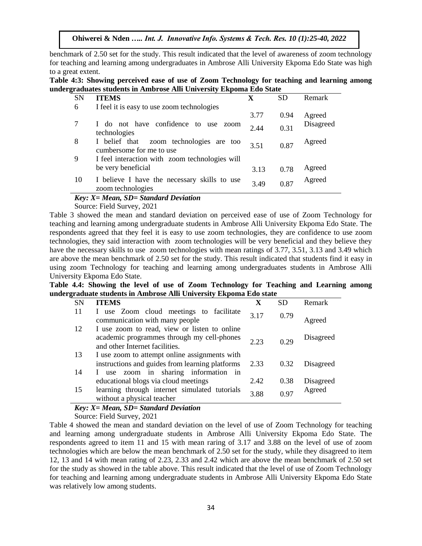benchmark of 2.50 set for the study. This result indicated that the level of awareness of zoom technology for teaching and learning among undergraduates in Ambrose Alli University Ekpoma Edo State was high to a great extent.

**Table 4:3: Showing perceived ease of use of Zoom Technology for teaching and learning among undergraduates students in Ambrose Alli University Ekpoma Edo State**

| <b>SN</b> | <b>ITEMS</b>                                                           | X    | <b>SD</b> | Remark    |
|-----------|------------------------------------------------------------------------|------|-----------|-----------|
| 6         | I feel it is easy to use zoom technologies                             |      |           |           |
|           |                                                                        | 3.77 | 0.94      | Agreed    |
|           | I do not have confidence to<br>use zoom<br>technologies                | 2.44 | 0.31      | Disagreed |
| 8         | I belief that<br>zoom technologies are too<br>cumbersome for me to use | 3.51 | 0.87      | Agreed    |
| 9         | I feel interaction with zoom technologies will                         |      |           |           |
|           | be very beneficial                                                     | 3.13 | 0.78      | Agreed    |
| 10        | I believe I have the necessary skills to use<br>zoom technologies      | 3.49 | 0.87      | Agreed    |

#### *Key: X= Mean, SD= Standard Deviation*

Source: Field Survey, 2021

Table 3 showed the mean and standard deviation on perceived ease of use of Zoom Technology for teaching and learning among undergraduate students in Ambrose Alli University Ekpoma Edo State. The respondents agreed that they feel it is easy to use zoom technologies, they are confidence to use zoom technologies, they said interaction with zoom technologies will be very beneficial and they believe they have the necessary skills to use zoom technologies with mean ratings of 3.77, 3.51, 3.13 and 3.49 which are above the mean benchmark of 2.50 set for the study. This result indicated that students find it easy in using zoom Technology for teaching and learning among undergraduates students in Ambrose Alli University Ekpoma Edo State.

**Table 4.4: Showing the level of use of Zoom Technology for Teaching and Learning among undergraduate students in Ambrose Alli University Ekpoma Edo state**

| SN       | <b>ITEMS</b>                                                                                                                              | X    | SD   | Remark    |
|----------|-------------------------------------------------------------------------------------------------------------------------------------------|------|------|-----------|
| 11       | I use Zoom cloud meetings to facilitate<br>communication with many people                                                                 | 3.17 | 0.79 | Agreed    |
| 12       | I use zoom to read, view or listen to online<br>academic programmes through my cell-phones<br>and other Internet facilities.              | 2.23 | 0.29 | Disagreed |
| 13<br>14 | I use zoom to attempt online assignments with<br>instructions and guides from learning platforms<br>use zoom in sharing information<br>in | 2.33 | 0.32 | Disagreed |
|          | educational blogs via cloud meetings                                                                                                      | 2.42 | 0.38 | Disagreed |
| 15       | learning through internet simulated tutorials<br>without a physical teacher                                                               | 3.88 | 0.97 | Agreed    |

# *Key: X= Mean, SD= Standard Deviation*

Source: Field Survey, 2021

Table 4 showed the mean and standard deviation on the level of use of Zoom Technology for teaching and learning among undergraduate students in Ambrose Alli University Ekpoma Edo State. The respondents agreed to item 11 and 15 with mean raring of 3.17 and 3.88 on the level of use of zoom technologies which are below the mean benchmark of 2.50 set for the study, while they disagreed to item 12, 13 and 14 with mean rating of 2.23, 2.33 and 2.42 which are above the mean benchmark of 2.50 set for the study as showed in the table above. This result indicated that the level of use of Zoom Technology for teaching and learning among undergraduate students in Ambrose Alli University Ekpoma Edo State was relatively low among students.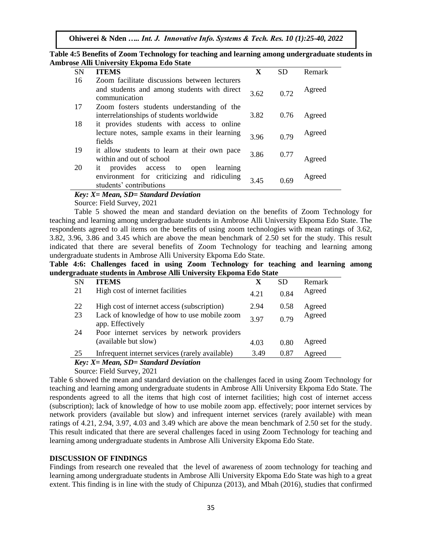| Table 4:5 Benefits of Zoom Technology for teaching and learning among undergraduate students in |
|-------------------------------------------------------------------------------------------------|
| <b>Ambrose Alli University Ekpoma Edo State</b>                                                 |

|           | se run emversie, Enponia Buo State                                       |      |           |        |
|-----------|--------------------------------------------------------------------------|------|-----------|--------|
| <b>SN</b> | <b>ITEMS</b>                                                             | X    | <b>SD</b> | Remark |
| 16        | Zoom facilitate discussions between lecturers                            |      |           |        |
|           | and students and among students with direct<br>communication             | 3.62 | 0.72      | Agreed |
| 17        | Zoom fosters students understanding of the                               |      |           |        |
|           | interrelationships of students worldwide                                 | 3.82 | 0.76      | Agreed |
| 18        | it provides students with access to online                               |      |           |        |
|           | lecture notes, sample exams in their learning<br>fields                  | 3.96 | 0.79      | Agreed |
| 19        | it allow students to learn at their own pace<br>within and out of school | 3.86 | 0.77      | Agreed |
| 20        | provides access to<br>learning<br>1t<br>open                             |      |           |        |
|           | environment for criticizing and ridiculing<br>students' contributions    | 3.45 | 0.69      | Agreed |

#### *Key: X= Mean, SD= Standard Deviation*

Source: Field Survey, 2021

Table 5 showed the mean and standard deviation on the benefits of Zoom Technology for teaching and learning among undergraduate students in Ambrose Alli University Ekpoma Edo State. The respondents agreed to all items on the benefits of using zoom technologies with mean ratings of 3.62, 3.82, 3.96, 3.86 and 3.45 which are above the mean benchmark of 2.50 set for the study. This result indicated that there are several benefits of Zoom Technology for teaching and learning among undergraduate students in Ambrose Alli University Ekpoma Edo State.

#### **Table 4:6: Challenges faced in using Zoom Technology for teaching and learning among undergraduate students in Ambrose Alli University Ekpoma Edo State**

| <b>SN</b>    | <b>ITEMS</b>                                                    | X    | SD   | Remark |
|--------------|-----------------------------------------------------------------|------|------|--------|
| 21           | High cost of internet facilities                                | 4.21 | 0.84 | Agreed |
| 22           | High cost of internet access (subscription)                     | 2.94 | 0.58 | Agreed |
| 23           | Lack of knowledge of how to use mobile zoom<br>app. Effectively | 397  | 0.79 | Agreed |
| 24           | Poor internet services by network providers                     |      |      |        |
|              | (available but slow)                                            | 4.03 | 0.80 | Agreed |
| 25           | Infrequent internet services (rarely available)                 | 3.49 | 0.87 | Agreed |
| $\mathbf{r}$ | .                                                               |      |      |        |

# *Key: X= Mean, SD= Standard Deviation*

Source: Field Survey, 2021

Table 6 showed the mean and standard deviation on the challenges faced in using Zoom Technology for teaching and learning among undergraduate students in Ambrose Alli University Ekpoma Edo State. The respondents agreed to all the items that high cost of internet facilities; high cost of internet access (subscription); lack of knowledge of how to use mobile zoom app. effectively; poor internet services by network providers (available but slow) and infrequent internet services (rarely available) with mean ratings of 4.21, 2.94, 3.97, 4.03 and 3.49 which are above the mean benchmark of 2.50 set for the study. This result indicated that there are several challenges faced in using Zoom Technology for teaching and learning among undergraduate students in Ambrose Alli University Ekpoma Edo State.

#### **DISCUSSION OF FINDINGS**

Findings from research one revealed that the level of awareness of zoom technology for teaching and learning among undergraduate students in Ambrose Alli University Ekpoma Edo State was high to a great extent. This finding is in line with the study of Chipunza (2013), and Mbah (2016), studies that confirmed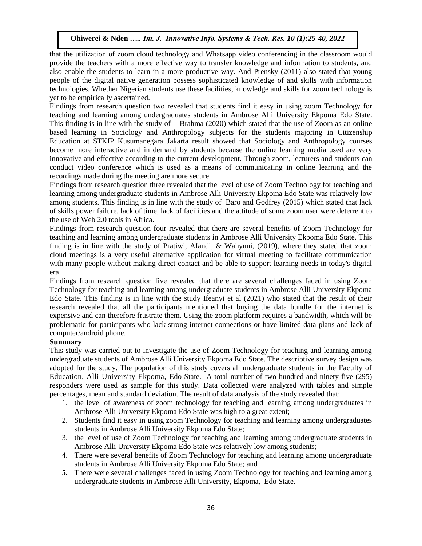that the utilization of zoom cloud technology and Whatsapp video conferencing in the classroom would provide the teachers with a more effective way to transfer knowledge and information to students, and also enable the students to learn in a more productive way. And Prensky (2011) also stated that young people of the digital native generation possess sophisticated knowledge of and skills with information technologies. Whether Nigerian students use these facilities, knowledge and skills for zoom technology is yet to be empirically ascertained.

Findings from research question two revealed that students find it easy in using zoom Technology for teaching and learning among undergraduates students in Ambrose Alli University Ekpoma Edo State. This finding is in line with the study of Brahma (2020) which stated that the use of Zoom as an online based learning in Sociology and Anthropology subjects for the students majoring in Citizenship Education at STKIP Kusumanegara Jakarta result showed that Sociology and Anthropology courses become more interactive and in demand by students because the online learning media used are very innovative and effective according to the current development. Through zoom, lecturers and students can conduct video conference which is used as a means of communicating in online learning and the recordings made during the meeting are more secure.

Findings from research question three revealed that the level of use of Zoom Technology for teaching and learning among undergraduate students in Ambrose Alli University Ekpoma Edo State was relatively low among students. This finding is in line with the study of Baro and Godfrey (2015) which stated that lack of skills power failure, lack of time, lack of facilities and the attitude of some zoom user were deterrent to the use of Web 2.0 tools in Africa.

Findings from research question four revealed that there are several benefits of Zoom Technology for teaching and learning among undergraduate students in Ambrose Alli University Ekpoma Edo State. This finding is in line with the study of Pratiwi, Afandi, & Wahyuni, (2019), where they stated that zoom cloud meetings is a very useful alternative application for virtual meeting to facilitate communication with many people without making direct contact and be able to support learning needs in today's digital era.

Findings from research question five revealed that there are several challenges faced in using Zoom Technology for teaching and learning among undergraduate students in Ambrose Alli University Ekpoma Edo State. This finding is in line with the study Ifeanyi et al (2021) who stated that the result of their research revealed that all the participants mentioned that buying the data bundle for the internet is expensive and can therefore frustrate them. Using the zoom platform requires a bandwidth, which will be problematic for participants who lack strong internet connections or have limited data plans and lack of computer/android phone.

# **Summary**

This study was carried out to investigate the use of Zoom Technology for teaching and learning among undergraduate students of Ambrose Alli University Ekpoma Edo State. The descriptive survey design was adopted for the study. The population of this study covers all undergraduate students in the Faculty of Education, Alli University Ekpoma, Edo State. A total number of two hundred and ninety five (295) responders were used as sample for this study. Data collected were analyzed with tables and simple percentages, mean and standard deviation. The result of data analysis of the study revealed that:

- 1. the level of awareness of zoom technology for teaching and learning among undergraduates in Ambrose Alli University Ekpoma Edo State was high to a great extent;
- 2. Students find it easy in using zoom Technology for teaching and learning among undergraduates students in Ambrose Alli University Ekpoma Edo State;
- 3. the level of use of Zoom Technology for teaching and learning among undergraduate students in Ambrose Alli University Ekpoma Edo State was relatively low among students;
- 4. There were several benefits of Zoom Technology for teaching and learning among undergraduate students in Ambrose Alli University Ekpoma Edo State; and
- **5.** There were several challenges faced in using Zoom Technology for teaching and learning among undergraduate students in Ambrose Alli University, Ekpoma, Edo State.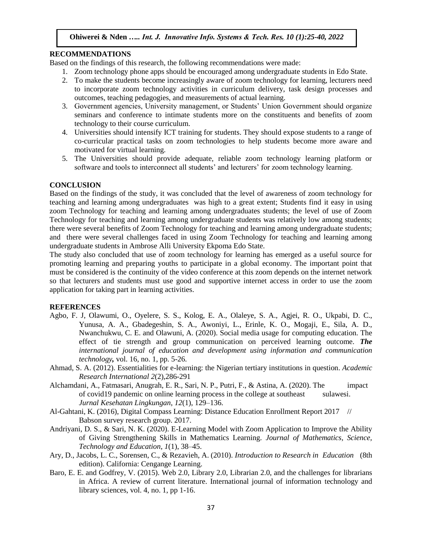#### **RECOMMENDATIONS**

Based on the findings of this research, the following recommendations were made:

- 1. Zoom technology phone apps should be encouraged among undergraduate students in Edo State.
- 2. To make the students become increasingly aware of zoom technology for learning, lecturers need to incorporate zoom technology activities in curriculum delivery, task design processes and outcomes, teaching pedagogies, and measurements of actual learning.
- 3. Government agencies, University management, or Students' Union Government should organize seminars and conference to intimate students more on the constituents and benefits of zoom technology to their course curriculum.
- 4. Universities should intensify ICT training for students. They should expose students to a range of co-curricular practical tasks on zoom technologies to help students become more aware and motivated for virtual learning.
- 5. The Universities should provide adequate, reliable zoom technology learning platform or software and tools to interconnect all students' and lecturers' for zoom technology learning.

#### **CONCLUSION**

Based on the findings of the study, it was concluded that the level of awareness of zoom technology for teaching and learning among undergraduates was high to a great extent; Students find it easy in using zoom Technology for teaching and learning among undergraduates students; the level of use of Zoom Technology for teaching and learning among undergraduate students was relatively low among students; there were several benefits of Zoom Technology for teaching and learning among undergraduate students; and there were several challenges faced in using Zoom Technology for teaching and learning among undergraduate students in Ambrose Alli University Ekpoma Edo State.

The study also concluded that use of zoom technology for learning has emerged as a useful source for promoting learning and preparing youths to participate in a global economy. The important point that must be considered is the continuity of the video conference at this zoom depends on the internet network so that lecturers and students must use good and supportive internet access in order to use the zoom application for taking part in learning activities.

#### **REFERENCES**

- Agbo, F. J, Olawumi, O., Oyelere, S. S., Kolog, E. A., Olaleye, S. A., Agjei, R. O., Ukpabi, D. C., Yunusa, A. A., Gbadegeshin, S. A., Awoniyi, L., Erinle, K. O., Mogaji, E., Sila, A. D., Nwanchukwu, C. E. and Olawuni, A. (2020). Social media usage for computing education. The effect of tie strength and group communication on perceived learning outcome. *The international journal of education and development using information and communication technology,* vol. 16, no. 1, pp. 5-26.
- Ahmad, S. A. (2012). Essentialities for e-learning: the Nigerian tertiary institutions in question. *Academic Research International 2*(2),286-291
- Alchamdani, A., Fatmasari, Anugrah, E. R., Sari, N. P., Putri, F., & Astina, A. (2020). The impact of covid19 pandemic on online learning process in the college at southeast sulawesi. *Jurnal Kesehatan Lingkungan*, *12*(1), 129–136.
- Al-Gahtani, K. (2016), Digital Compass Learning: Distance Education Enrollment Report 2017 // Babson survey research group. 2017.
- Andriyani, D. S., & Sari, N. K. (2020). E-Learning Model with Zoom Application to Improve the Ability of Giving Strengthening Skills in Mathematics Learning. *Journal of Mathematics, Science, Technology and Education*, *1*(1), 38–45.
- Ary, D., Jacobs, L. C., Sorensen, C., & Rezavieh, A. (2010). *Introduction to Research in Education* (8th edition). California: Cengange Learning.
- Baro, E. E. and Godfrey, V. (2015). Web 2.0, Library 2.0, Librarian 2.0, and the challenges for librarians in Africa. A review of current literature. International journal of information technology and library sciences, vol. 4, no. 1, pp 1-16.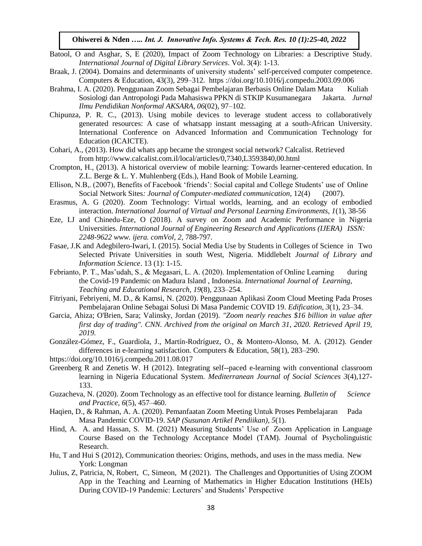- Batool, O and Asghar, S, E (2020), Impact of Zoom Technology on Libraries: a Descriptive Study. *International Journal of Digital Library Services*. Vol. 3(4): 1-13.
- Braak, J. (2004). Domains and determinants of university students' self-perceived computer competence. Computers & Education, 43(3), 299–312. https ://doi.org/10.1016/j.compedu.2003.09.006
- Brahma, I. A. (2020). Penggunaan Zoom Sebagai Pembelajaran Berbasis Online Dalam Mata Kuliah Sosiologi dan Antropologi Pada Mahasiswa PPKN di STKIP Kusumanegara Jakarta. *Jurnal Ilmu Pendidikan Nonformal AKSARA*, *06*(02), 97–102.
- Chipunza, P. R. C., (2013). Using mobile devices to leverage student access to collaboratively generated resources: A case of whatsapp instant messaging at a south-African University. International Conference on Advanced Information and Communication Technology for Education (ICAICTE).
- Cohari, A., (2013). How did whats app became the strongest social network? Calcalist. Retrieved from http://www.calcalist.com.il/local/articles/0,7340,L3593840,00.html
- Crompton, H., (2013). A historical overview of mobile learning: Towards learner-centered education. In Z.L. Berge & L. Y. Muhlenberg (Eds.), Hand Book of Mobile Learning.
- Ellison, N.B,. (2007), Benefits of Facebook 'friends': Social capital and College Students' use of Online Social Network Sites: *Journal of Computer-mediated communication*, 12(4) (2007).
- Erasmus, A. G (2020). Zoom Technology: Virtual worlds, learning, and an ecology of embodied interaction. *International Journal of Virtual and Personal Learning Environments, 1*(1), 38-56
- Eze, I.J and Chinedu-Eze, O (2018). A survey on Zoom and Academic Performance in Nigeria Universities. *International Journal of Engineering Research and Applications (IJERA) ISSN: 2248-9622 www. ijera. comVol*, *2*, 788-797.
- Fasae, J.K and Adegbilero-Iwari, I. (2015). Social Media Use by Students in Colleges of Science in Two Selected Private Universities in south West, Nigeria. Middlebelt *Journal of Library and Information Science*. 13 (1): 1-15.
- Febrianto, P. T., Mas'udah, S., & Megasari, L. A. (2020). Implementation of Online Learning during the Covid-19 Pandemic on Madura Island , Indonesia. *International Journal of Learning, Teaching and Educational Research*, *19*(8), 233–254.
- Fitriyani, Febriyeni, M. D., & Kamsi, N. (2020). Penggunaan Aplikasi Zoom Cloud Meeting Pada Proses Pembelajaran Online Sebagai Solusi Di Masa Pandemic COVID 19. *Edification*, *3*(1), 23–34.
- Garcia, Ahiza; O'Brien, Sara; Valinsky, Jordan (2019)*. ["Zoom nearly reaches \\$16 billion in value after](https://www.cnn.com/2019/04/18/tech/zoom-ipo-video-conference/index.html)  [first day of trading".](https://www.cnn.com/2019/04/18/tech/zoom-ipo-video-conference/index.html) [CNN.](https://en.wikipedia.org/wiki/CNN) [Archived](https://web.archive.org/web/20200331182141/https:/www.cnn.com/2019/04/18/tech/zoom-ipo-video-conference/index.html) from the original on March 31, 2020. Retrieved April 19, 2019.*
- González-Gómez, F., Guardiola, J., Martín-Rodríguez, O., & Montero-Alonso, M. A. (2012). Gender differences in e-learning satisfaction. Computers & Education, 58(1), 283–290.
- https://doi.org/10.1016/j.compedu.2011.08.017
- Greenberg R and Zenetis W. H (2012). Integrating self--paced e-learning with conventional classroom learning in Nigeria Educational System. *Mediterranean Journal of Social Sciences 3*(4),127- 133.
- Guzacheva, N. (2020). Zoom Technology as an effective tool for distance learning. *Bulletin of Science and Practice*, *6*(5), 457–460.
- Haqien, D., & Rahman, A. A. (2020). Pemanfaatan Zoom Meeting Untuk Proses Pembelajaran Pada Masa Pandemic COVID-19. *SAP (Susunan Artikel Pendiikan)*, *5*(1).
- Hind, A. A. and Hassan, S. M. (2021) Measuring Students' Use of Zoom Application in Language Course Based on the Technology Acceptance Model (TAM). Journal of Psycholinguistic Research.
- Hu, T and Hui S (2012), Communication theories: Origins, methods, and uses in the mass media. New York: Longman
- [Julius, Z,](https://www.researchgate.net/profile/Julius-Zulu) [Patricia, N,](https://www.researchgate.net/profile/Patricia-Nalube) [Robert, C,](https://www.researchgate.net/profile/Robert-Changwe) [Simeon, M](https://www.researchgate.net/profile/Simeon-Mbewe) (2021). The Challenges and Opportunities of Using ZOOM App in the Teaching and Learning of Mathematics in Higher Education Institutions (HEIs) During COVID-19 Pandemic: Lecturers' and Students' Perspective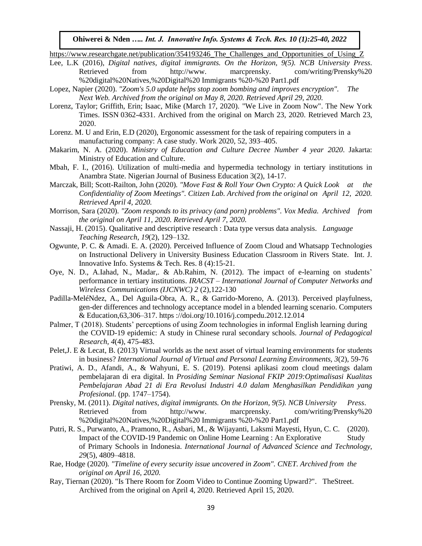https://www.researchgate.net/publication/354193246 The Challenges and Opportunities of Using Z

- Lee, L.K (2016), *Digital natives, digital immigrants. On the Horizon, 9(5). NCB University Press*. Retrieved from http://www. marcprensky. com/writing/Prensky%20 %20digital%20Natives,%20Digital%20 Immigrants %20-%20 Part1.pdf
- Lopez, Napier (2020). *["Zoom's 5.0 update helps stop zoom](https://thenextweb.com/apps/2020/04/22/zooms-5-0-update-helps-stop-zoombombing-and-improves-encryption/) bombing and improves encryption". The Next Web. [Archived](https://web.archive.org/web/20200508054234/https:/thenextweb.com/apps/2020/04/22/zooms-5-0-update-helps-stop-zoombombing-and-improves-encryption/) from the original on May 8, 2020. Retrieved April 29, 2020.*
- Lorenz, Taylor; Griffith, Erin; Isaac, Mike (March 17, 2020). ["We Live in Zoom Now".](https://www.nytimes.com/2020/03/17/style/zoom-parties-coronavirus-memes.html) [The New York](https://en.wikipedia.org/wiki/The_New_York_Times)  [Times.](https://en.wikipedia.org/wiki/The_New_York_Times) [ISSN](https://en.wikipedia.org/wiki/ISSN_%28identifier%29) [0362-4331.](https://www.worldcat.org/issn/0362-4331) [Archived](https://web.archive.org/web/20200323084206/https:/www.nytimes.com/2020/03/17/style/zoom-parties-coronavirus-memes.html) from the original on March 23, 2020. Retrieved March 23, 2020.
- Lorenz. M. U and Erin, E.D (2020), Ergonomic assessment for the task of repairing computers in a manufacturing company: A case study. Work 2020, 52, 393–405.
- Makarim, N. A. (2020). *Ministry of Education and Culture Decree Number 4 year 2020*. Jakarta: Ministry of Education and Culture.
- Mbah, F. I., (2016). Utilization of multi-media and hypermedia technology in tertiary institutions in Anambra State. Nigerian Journal of Business Education 3(2), 14-17.
- Marczak, Bill; Scott-Railton, John (2020)*. ["Move Fast & Roll Your Own Crypto: A Quick Look at the](https://citizenlab.ca/2020/04/move-fast-roll-your-own-crypto-a-quick-look-at-the-confidentiality-of-zoom-meetings/)  [Confidentiality of Zoom Meetings".](https://citizenlab.ca/2020/04/move-fast-roll-your-own-crypto-a-quick-look-at-the-confidentiality-of-zoom-meetings/) [Citizen Lab.](https://en.wikipedia.org/wiki/Citizen_Lab) [Archived](https://web.archive.org/web/20200412023706/https:/citizenlab.ca/2020/04/move-fast-roll-your-own-crypto-a-quick-look-at-the-confidentiality-of-zoom-meetings/) from the original on April 12, 2020. Retrieved April 4, 2020.*
- Morrison, Sara (2020)*. ["Zoom responds to its privacy \(and porn\) problems".](https://www.vox.com/recode/2020/3/31/21201019/zoom-coronavirus-privacy-hacks) [Vox Media.](https://en.wikipedia.org/wiki/Vox_Media) [Archived](https://web.archive.org/web/20200411175641/https:/www.vox.com/recode/2020/3/31/21201019/zoom-coronavirus-privacy-hacks) from the original on April 11, 2020. Retrieved April 7, 2020.*
- Nassaji, H. (2015). Qualitative and descriptive research : Data type versus data analysis. *Language Teaching Research*, *19*(2), 129–132.
- Ogwunte, P. C. & Amadi. E. A. (2020). Perceived Influence of Zoom Cloud and Whatsapp Technologies on Instructional Delivery in University Business Education Classroom in Rivers State. Int. J. Innovative Info. Systems & Tech. Res. 8 (4):15-21.
- Oye, N. D., A.Iahad, N., Madar,. & Ab.Rahim, N. (2012). The impact of e-learning on students' performance in tertiary institutions. *IRACST – International Journal of Computer Networks and Wireless Communications (IJCNWC) 2* (2),122-130
- Padilla-MeléNdez, A., Del Aguila-Obra, A. R., & Garrido-Moreno, A. (2013). Perceived playfulness, gen-der differences and technology acceptance model in a blended learning scenario. Computers & Education,63,306–317. https ://doi.org/10.1016/j.compedu.2012.12.014
- Palmer, T (2018). Students' perceptions of using Zoom technologies in informal English learning during the COVID-19 epidemic: A study in Chinese rural secondary schools. *Journal of Pedagogical Research, 4*(4), 475-483.
- Pelet,J. E & Lecat, B. (2013) Virtual worlds as the next asset of virtual learning environments for students in business? *International Journal of Virtual and Personal Learning Environments, 3*(2), 59-76
- Pratiwi, A. D., Afandi, A., & Wahyuni, E. S. (2019). Potensi aplikasi zoom cloud meetings dalam pembelajaran di era digital. In *Prosiding Seminar Nasional FKIP 2019:Optimalisasi Kualitas Pembelajaran Abad 21 di Era Revolusi Industri 4.0 dalam Menghasilkan Pendidikan yang Profesional.* (pp. 1747–1754).
- Prensky, M. (2011). *Digital natives, digital immigrants. On the Horizon, 9(5). NCB University Press*. Retrieved from http://www. marcprensky. com/writing/Prensky%20 %20digital%20Natives,%20Digital%20 Immigrants %20-%20 Part1.pdf
- Putri, R. S., Purwanto, A., Pramono, R., Asbari, M., & Wijayanti, Laksmi Mayesti, Hyun, C. C. (2020). Impact of the COVID-19 Pandemic on Online Home Learning : An Explorative Study of Primary Schools in Indonesia. *International Journal of Advanced Science and Technology*, *29*(5), 4809–4818.
- Rae, Hodge (2020)*. ["Timeline of every security issue uncovered in Zoom".](https://www.cnet.com/news/zoom-every-security-issue-uncovered-in-the-video-chat-app/) CNET[. Archived](https://web.archive.org/web/20200416215436/https:/www.cnet.com/news/zoom-every-security-issue-uncovered-in-the-video-chat-app/) from the original on April 16, 2020.*
- Ray, Tiernan (2020). ["Is There Room for Zoom Video to Continue Zooming Upward?".](https://www.thestreet.com/investing/can-zoom-continue-zooming-upward) TheStreet. [Archived](https://web.archive.org/web/20200404053453/https:/www.thestreet.com/investing/can-zoom-continue-zooming-upward) from the original on April 4, 2020. Retrieved April 15, 2020.